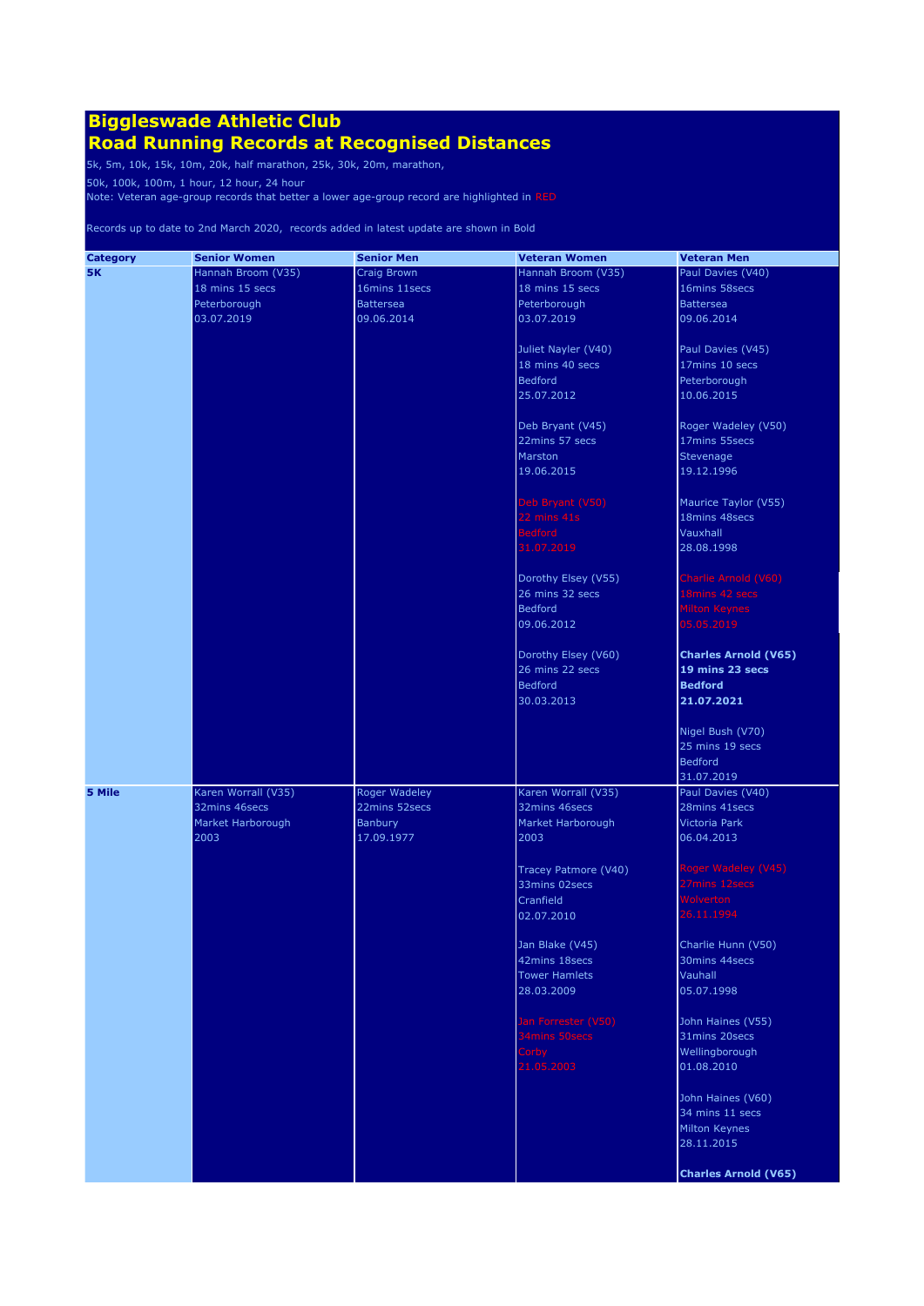### **Road Running Records at Recognised Distances**

5k, 5m, 10k, 15k, 10m, 20k, half marathon, 25k, 30k, 20m, marathon,

50k, 100k, 100m, 1 hour, 12 hour, 24 hour

Note: Veteran age-group records that better a lower age-group record are highlighted in RED

| <b>Category</b> | <b>Senior Women</b> | <b>Senior Men</b> | <b>Veteran Women</b> | <b>Veteran Men</b>          |
|-----------------|---------------------|-------------------|----------------------|-----------------------------|
| <b>5K</b>       | Hannah Broom (V35)  | Craig Brown       | Hannah Broom (V35)   | Paul Davies (V40)           |
|                 | 18 mins 15 secs     | 16mins 11secs     | 18 mins 15 secs      | 16mins 58secs               |
|                 | Peterborough        | <b>Battersea</b>  | Peterborough         | <b>Battersea</b>            |
|                 | 03.07.2019          | 09.06.2014        | 03.07.2019           | 09.06.2014                  |
|                 |                     |                   |                      |                             |
|                 |                     |                   | Juliet Nayler (V40)  | Paul Davies (V45)           |
|                 |                     |                   | 18 mins 40 secs      | 17mins 10 secs              |
|                 |                     |                   | <b>Bedford</b>       | Peterborough                |
|                 |                     |                   | 25.07.2012           | 10.06.2015                  |
|                 |                     |                   |                      |                             |
|                 |                     |                   | Deb Bryant (V45)     | Roger Wadeley (V50)         |
|                 |                     |                   | 22mins 57 secs       | 17mins 55secs               |
|                 |                     |                   | Marston              | Stevenage                   |
|                 |                     |                   | 19.06.2015           | 19.12.1996                  |
|                 |                     |                   |                      |                             |
|                 |                     |                   | Deb Bryant (V50)     | Maurice Taylor (V55)        |
|                 |                     |                   | 22 mins 41s          | 18mins 48secs               |
|                 |                     |                   | <b>Bedford</b>       | Vauxhall                    |
|                 |                     |                   | 31.07.2019           | 28.08.1998                  |
|                 |                     |                   |                      |                             |
|                 |                     |                   | Dorothy Elsey (V55)  | Charlie Arnold (V60)        |
|                 |                     |                   | 26 mins 32 secs      | 18mins 42 secs              |
|                 |                     |                   | Bedford              | Milton Keynes               |
|                 |                     |                   | 09.06.2012           | 05.05.2019                  |
|                 |                     |                   |                      |                             |
|                 |                     |                   | Dorothy Elsey (V60)  | <b>Charles Arnold (V65)</b> |
|                 |                     |                   | 26 mins 22 secs      | 19 mins 23 secs             |
|                 |                     |                   | Bedford              | <b>Bedford</b>              |
|                 |                     |                   | 30.03.2013           | 21.07.2021                  |
|                 |                     |                   |                      |                             |
|                 |                     |                   |                      | Nigel Bush (V70)            |
|                 |                     |                   |                      | 25 mins 19 secs             |
|                 |                     |                   |                      | <b>Bedford</b>              |
|                 |                     |                   |                      | 31.07.2019                  |
| 5 Mile          | Karen Worrall (V35) | Roger Wadeley     | Karen Worrall (V35)  | Paul Davies (V40)           |
|                 | 32mins 46secs       | 22mins 52secs     | 32mins 46secs        | 28mins 41secs               |
|                 | Market Harborough   | Banbury           | Market Harborough    | <b>Victoria Park</b>        |
|                 | 2003                | 17.09.1977        | 2003                 | 06.04.2013                  |
|                 |                     |                   |                      |                             |
|                 |                     |                   | Tracey Patmore (V40) | Roger Wadeley (V45)         |
|                 |                     |                   | 33mins 02secs        | 27mins 12secs               |
|                 |                     |                   | Cranfield            | <b>Wolverton</b>            |
|                 |                     |                   | 02.07.2010           | 26.11.1994                  |
|                 |                     |                   |                      |                             |
|                 |                     |                   | Jan Blake (V45)      | Charlie Hunn (V50)          |
|                 |                     |                   | 42mins 18secs        | 30mins 44secs               |
|                 |                     |                   | <b>Tower Hamlets</b> | Vauhall                     |
|                 |                     |                   | 28.03.2009           | 05.07.1998                  |
|                 |                     |                   |                      |                             |
|                 |                     |                   | Jan Forrester (V50)  | John Haines (V55)           |
|                 |                     |                   | 34mins 50secs        | 31mins 20secs               |
|                 |                     |                   | Corby                | Wellingborough              |
|                 |                     |                   | 21.05.2003           | 01.08.2010                  |
|                 |                     |                   |                      |                             |
|                 |                     |                   |                      | John Haines (V60)           |
|                 |                     |                   |                      | 34 mins 11 secs             |
|                 |                     |                   |                      | Milton Keynes               |
|                 |                     |                   |                      | 28.11.2015                  |
|                 |                     |                   |                      |                             |
|                 |                     |                   |                      | <b>Charles Arnold (V65)</b> |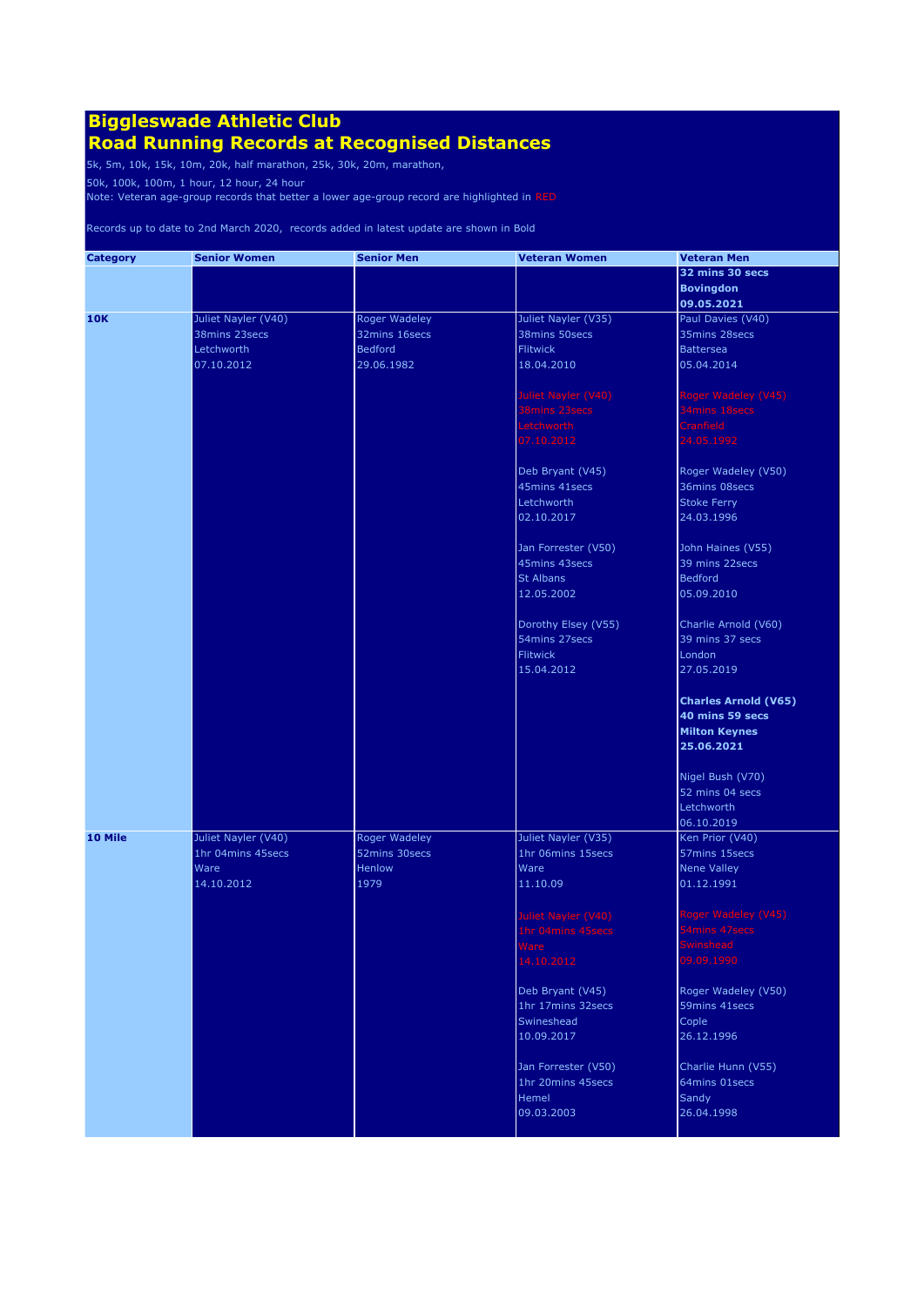### **Road Running Records at Recognised Distances**

5k, 5m, 10k, 15k, 10m, 20k, half marathon, 25k, 30k, 20m, marathon,

50k, 100k, 100m, 1 hour, 12 hour, 24 hour

Note: Veteran age-group records that better a lower age-group record are highlighted in RED

| <b>Category</b> | <b>Senior Women</b> | <b>Senior Men</b>    | <b>Veteran Women</b> | <b>Veteran Men</b>          |
|-----------------|---------------------|----------------------|----------------------|-----------------------------|
|                 |                     |                      |                      | 32 mins 30 secs             |
|                 |                     |                      |                      | <b>Bovingdon</b>            |
|                 |                     |                      |                      | 09.05.2021                  |
| <b>10K</b>      | Juliet Nayler (V40) | Roger Wadeley        | Juliet Nayler (V35)  | Paul Davies (V40)           |
|                 | 38mins 23secs       | 32mins 16secs        | 38mins 50secs        | 35mins 28secs               |
|                 | Letchworth          | <b>Bedford</b>       | <b>Flitwick</b>      | <b>Battersea</b>            |
|                 | 07.10.2012          | 29.06.1982           | 18.04.2010           | 05.04.2014                  |
|                 |                     |                      |                      |                             |
|                 |                     |                      | Juliet Nayler (V40)  | Roger Wadeley (V45)         |
|                 |                     |                      | 38mins 23secs        | 34mins 18secs               |
|                 |                     |                      | Letchworth           | <b>Cranfield</b>            |
|                 |                     |                      |                      |                             |
|                 |                     |                      | 07.10.2012           | 24.05.1992                  |
|                 |                     |                      | Deb Bryant (V45)     | Roger Wadeley (V50)         |
|                 |                     |                      | 45mins 41secs        | 36mins 08secs               |
|                 |                     |                      | Letchworth           | <b>Stoke Ferry</b>          |
|                 |                     |                      | 02.10.2017           | 24.03.1996                  |
|                 |                     |                      |                      |                             |
|                 |                     |                      | Jan Forrester (V50)  | John Haines (V55)           |
|                 |                     |                      | 45mins 43secs        | 39 mins 22secs              |
|                 |                     |                      | <b>St Albans</b>     | <b>Bedford</b>              |
|                 |                     |                      | 12.05.2002           | 05.09.2010                  |
|                 |                     |                      |                      |                             |
|                 |                     |                      | Dorothy Elsey (V55)  | Charlie Arnold (V60)        |
|                 |                     |                      | 54mins 27secs        | 39 mins 37 secs             |
|                 |                     |                      | <b>Flitwick</b>      | London                      |
|                 |                     |                      | 15.04.2012           | 27.05.2019                  |
|                 |                     |                      |                      |                             |
|                 |                     |                      |                      | <b>Charles Arnold (V65)</b> |
|                 |                     |                      |                      | 40 mins 59 secs             |
|                 |                     |                      |                      | <b>Milton Keynes</b>        |
|                 |                     |                      |                      | 25.06.2021                  |
|                 |                     |                      |                      |                             |
|                 |                     |                      |                      | Nigel Bush (V70)            |
|                 |                     |                      |                      | 52 mins 04 secs             |
|                 |                     |                      |                      | Letchworth                  |
|                 |                     |                      |                      | 06.10.2019                  |
| 10 Mile         | Juliet Nayler (V40) | <b>Roger Wadeley</b> | Juliet Nayler (V35)  | Ken Prior (V40)             |
|                 | 1hr 04mins 45secs   | 52mins 30secs        | 1hr 06mins 15secs    | 57mins 15secs               |
|                 | Ware                | Henlow               | Ware                 | Nene Valley                 |
|                 | 14.10.2012          | 1979                 | 11.10.09             | 01.12.1991                  |
|                 |                     |                      |                      |                             |
|                 |                     |                      | Juliet Nayler (V40)  | Roger Wadeley (V45)         |
|                 |                     |                      | 1hr 04mins 45secs    | 54mins 47secs               |
|                 |                     |                      |                      | winshead                    |
|                 |                     |                      | 14.10.2012           | 09.09.1990                  |
|                 |                     |                      |                      |                             |
|                 |                     |                      | Deb Bryant (V45)     | Roger Wadeley (V50)         |
|                 |                     |                      | 1hr 17mins 32secs    | 59mins 41secs               |
|                 |                     |                      | Swineshead           | Cople                       |
|                 |                     |                      | 10.09.2017           | 26.12.1996                  |
|                 |                     |                      |                      |                             |
|                 |                     |                      | Jan Forrester (V50)  | Charlie Hunn (V55)          |
|                 |                     |                      | 1hr 20mins 45secs    | 64mins 01secs               |
|                 |                     |                      | Hemel                | Sandy                       |
|                 |                     |                      | 09.03.2003           | 26.04.1998                  |
|                 |                     |                      |                      |                             |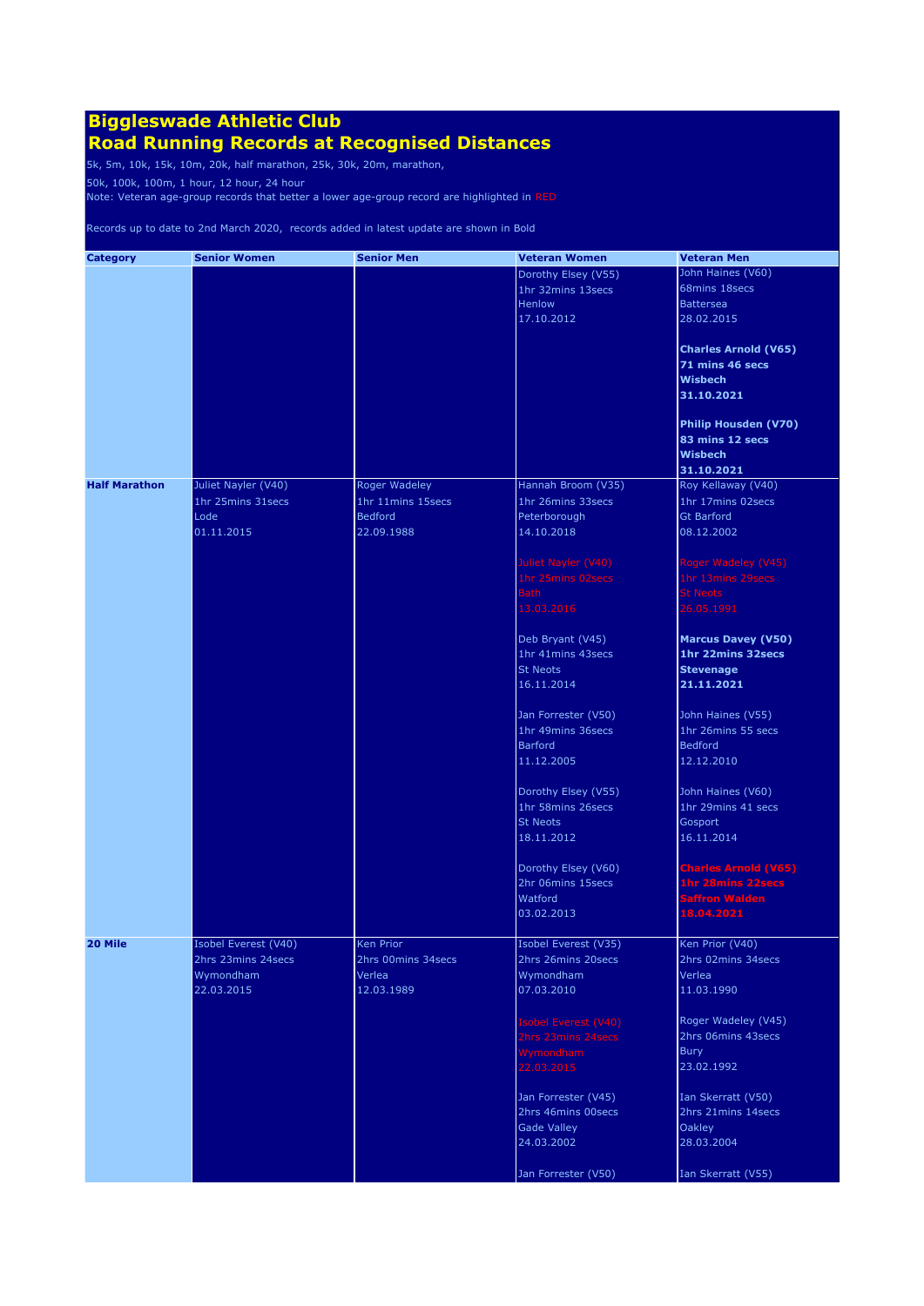### **Road Running Records at Recognised Distances**

5k, 5m, 10k, 15k, 10m, 20k, half marathon, 25k, 30k, 20m, marathon,

50k, 100k, 100m, 1 hour, 12 hour, 24 hour

Note: Veteran age-group records that better a lower age-group record are highlighted in RED

| <b>Category</b>      | <b>Senior Women</b>  | <b>Senior Men</b>    | <b>Veteran Women</b>                     | <b>Veteran Men</b>                         |
|----------------------|----------------------|----------------------|------------------------------------------|--------------------------------------------|
|                      |                      |                      | Dorothy Elsey (V55)                      | John Haines (V60)                          |
|                      |                      |                      | 1hr 32mins 13secs                        | 68mins 18secs                              |
|                      |                      |                      | Henlow                                   | <b>Battersea</b>                           |
|                      |                      |                      | 17.10.2012                               | 28.02.2015                                 |
|                      |                      |                      |                                          | Charles Arnold (V65)                       |
|                      |                      |                      |                                          | 71 mins 46 secs                            |
|                      |                      |                      |                                          | <b>Wisbech</b>                             |
|                      |                      |                      |                                          | 31.10.2021                                 |
|                      |                      |                      |                                          | <b>Philip Housden (V70)</b>                |
|                      |                      |                      |                                          | 83 mins 12 secs                            |
|                      |                      |                      |                                          | <b>Wisbech</b>                             |
|                      |                      |                      |                                          | 31.10.2021                                 |
| <b>Half Marathon</b> | Juliet Nayler (V40)  | <b>Roger Wadeley</b> | Hannah Broom (V35)                       | Roy Kellaway (V40)                         |
|                      | 1hr 25mins 31secs    | 1hr 11mins 15secs    | 1hr 26mins 33secs                        | 1hr 17mins 02secs                          |
|                      | Lode                 | <b>Bedford</b>       | Peterborough                             | <b>Gt Barford</b>                          |
|                      | 01.11.2015           | 22.09.1988           | 14.10.2018                               | 08.12.2002                                 |
|                      |                      |                      | Juliet Nayler (V40)                      | Roger Wadeley (V45)                        |
|                      |                      |                      | 1hr 25mins 02secs                        | 1hr 13mins 29secs                          |
|                      |                      |                      | <b>Bath</b>                              | <b>St Neots</b>                            |
|                      |                      |                      | 13.03.2016                               | 26.05.1991                                 |
|                      |                      |                      | Deb Bryant (V45)                         | <b>Marcus Davey (V50)</b>                  |
|                      |                      |                      | 1hr 41mins 43secs                        | 1hr 22mins 32secs                          |
|                      |                      |                      | <b>St Neots</b>                          | <b>Stevenage</b>                           |
|                      |                      |                      | 16.11.2014                               | 21.11.2021                                 |
|                      |                      |                      | Jan Forrester (V50)                      | John Haines (V55)                          |
|                      |                      |                      | 1hr 49mins 36secs                        | 1hr 26mins 55 secs                         |
|                      |                      |                      | <b>Barford</b>                           | <b>Bedford</b>                             |
|                      |                      |                      | 11.12.2005                               | 12.12.2010                                 |
|                      |                      |                      | Dorothy Elsey (V55)                      | John Haines (V60)                          |
|                      |                      |                      | 1hr 58mins 26secs                        | 1hr 29mins 41 secs                         |
|                      |                      |                      | <b>St Neots</b>                          | Gosport                                    |
|                      |                      |                      | 18.11.2012                               | 16.11.2014                                 |
|                      |                      |                      | Dorothy Elsey (V60)<br>2hr 06mins 15secs | <b>Charles Arnold (V65)</b>                |
|                      |                      |                      | Watford                                  | 1hr 28mins 22secs<br><b>Saffron Walden</b> |
|                      |                      |                      | 03.02.2013                               | 18.04.2021                                 |
|                      |                      |                      |                                          |                                            |
| 20 Mile              | Isobel Everest (V40) | Ken Prior            | Isobel Everest (V35)                     | Ken Prior (V40)                            |
|                      | 2hrs 23mins 24secs   | 2hrs 00mins 34secs   | 2hrs 26mins 20secs                       | 2hrs 02mins 34secs                         |
|                      | Wymondham            | Verlea               | Wymondham                                | Verlea                                     |
|                      | 22.03.2015           | 12.03.1989           | 07.03.2010                               | 11.03.1990                                 |
|                      |                      |                      | Isobel Everest (V40)                     | Roger Wadeley (V45)                        |
|                      |                      |                      | 2hrs 23mins 24secs                       | 2hrs 06mins 43secs                         |
|                      |                      |                      | Wymondham                                | Bury                                       |
|                      |                      |                      | 22.03.2015                               | 23.02.1992                                 |
|                      |                      |                      | Jan Forrester (V45)                      | Ian Skerratt (V50)                         |
|                      |                      |                      | 2hrs 46mins 00secs                       | 2hrs 21mins 14 secs                        |
|                      |                      |                      | <b>Gade Valley</b>                       | Oakley                                     |
|                      |                      |                      | 24.03.2002                               | 28.03.2004                                 |
|                      |                      |                      | Jan Forrester (V50)                      | Ian Skerratt (V55)                         |